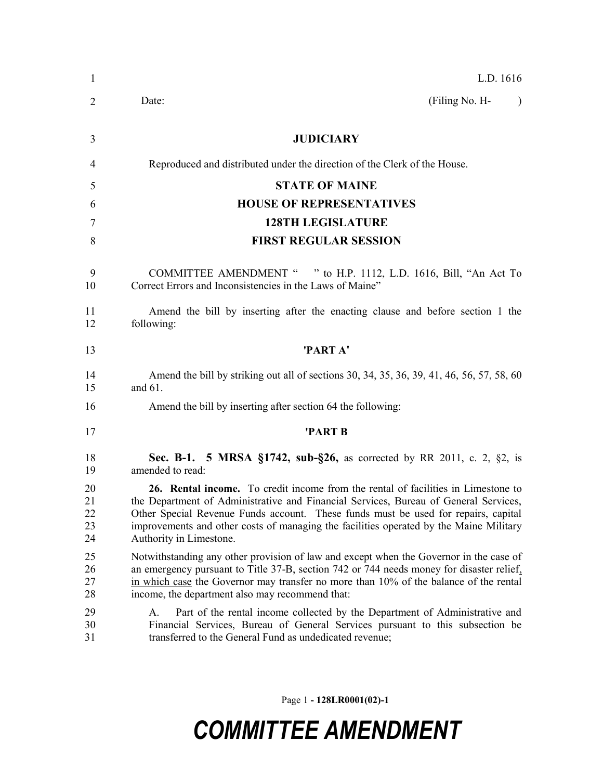| L.D. 1616                                                                                                                                                                                                                                                                                                                                                                            |
|--------------------------------------------------------------------------------------------------------------------------------------------------------------------------------------------------------------------------------------------------------------------------------------------------------------------------------------------------------------------------------------|
| (Filing No. H-<br>Date:<br>$\lambda$                                                                                                                                                                                                                                                                                                                                                 |
| <b>JUDICIARY</b>                                                                                                                                                                                                                                                                                                                                                                     |
| Reproduced and distributed under the direction of the Clerk of the House.                                                                                                                                                                                                                                                                                                            |
| <b>STATE OF MAINE</b>                                                                                                                                                                                                                                                                                                                                                                |
| <b>HOUSE OF REPRESENTATIVES</b>                                                                                                                                                                                                                                                                                                                                                      |
| <b>128TH LEGISLATURE</b>                                                                                                                                                                                                                                                                                                                                                             |
| <b>FIRST REGULAR SESSION</b>                                                                                                                                                                                                                                                                                                                                                         |
| COMMITTEE AMENDMENT " " to H.P. 1112, L.D. 1616, Bill, "An Act To<br>Correct Errors and Inconsistencies in the Laws of Maine"                                                                                                                                                                                                                                                        |
| Amend the bill by inserting after the enacting clause and before section 1 the<br>following:                                                                                                                                                                                                                                                                                         |
| 'PART A'                                                                                                                                                                                                                                                                                                                                                                             |
| Amend the bill by striking out all of sections 30, 34, 35, 36, 39, 41, 46, 56, 57, 58, 60<br>and $61$ .                                                                                                                                                                                                                                                                              |
| Amend the bill by inserting after section 64 the following:                                                                                                                                                                                                                                                                                                                          |
| 'PART B                                                                                                                                                                                                                                                                                                                                                                              |
| <b>Sec. B-1. 5 MRSA §1742, sub-§26, as corrected by RR 2011, c. 2, §2, is</b><br>amended to read:                                                                                                                                                                                                                                                                                    |
| 26. Rental income. To credit income from the rental of facilities in Limestone to<br>the Department of Administrative and Financial Services, Bureau of General Services,<br>Other Special Revenue Funds account. These funds must be used for repairs, capital<br>improvements and other costs of managing the facilities operated by the Maine Military<br>Authority in Limestone. |
| Notwithstanding any other provision of law and except when the Governor in the case of<br>an emergency pursuant to Title 37-B, section 742 or 744 needs money for disaster relief,<br>in which case the Governor may transfer no more than 10% of the balance of the rental<br>income, the department also may recommend that:                                                       |
| Part of the rental income collected by the Department of Administrative and<br>A.<br>Financial Services, Bureau of General Services pursuant to this subsection be<br>transferred to the General Fund as undedicated revenue;                                                                                                                                                        |
|                                                                                                                                                                                                                                                                                                                                                                                      |

Page 1 **- 128LR0001(02)-1**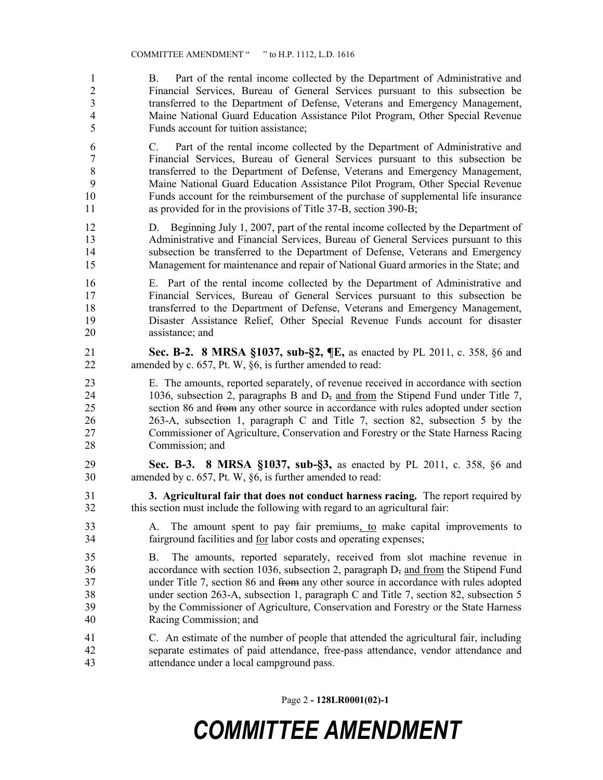B. Part of the rental income collected by the Department of Administrative and Financial Services, Bureau of General Services pursuant to this subsection be transferred to the Department of Defense, Veterans and Emergency Management, Maine National Guard Education Assistance Pilot Program, Other Special Revenue Funds account for tuition assistance;

 C. Part of the rental income collected by the Department of Administrative and Financial Services, Bureau of General Services pursuant to this subsection be transferred to the Department of Defense, Veterans and Emergency Management, Maine National Guard Education Assistance Pilot Program, Other Special Revenue Funds account for the reimbursement of the purchase of supplemental life insurance as provided for in the provisions of Title 37-B, section 390-B;

 D. Beginning July 1, 2007, part of the rental income collected by the Department of Administrative and Financial Services, Bureau of General Services pursuant to this subsection be transferred to the Department of Defense, Veterans and Emergency Management for maintenance and repair of National Guard armories in the State; and

 E. Part of the rental income collected by the Department of Administrative and Financial Services, Bureau of General Services pursuant to this subsection be transferred to the Department of Defense, Veterans and Emergency Management, Disaster Assistance Relief, Other Special Revenue Funds account for disaster assistance; and

 **Sec. B-2. 8 MRSA §1037, sub-§2, ¶E,** as enacted by PL 2011, c. 358, §6 and amended by c. 657, Pt. W, §6, is further amended to read:

 E. The amounts, reported separately, of revenue received in accordance with section 24 1036, subsection 2, paragraphs B and D<sub>7</sub> and from the Stipend Fund under Title 7, section 86 and from any other source in accordance with rules adopted under section 263-A, subsection 1, paragraph C and Title 7, section 82, subsection 5 by the Commissioner of Agriculture, Conservation and Forestry or the State Harness Racing Commission; and

 **Sec. B-3. 8 MRSA §1037, sub-§3,** as enacted by PL 2011, c. 358, §6 and amended by c. 657, Pt. W, §6, is further amended to read:

 **3. Agricultural fair that does not conduct harness racing.** The report required by this section must include the following with regard to an agricultural fair:

 A. The amount spent to pay fair premiums, to make capital improvements to fairground facilities and for labor costs and operating expenses;

 B. The amounts, reported separately, received from slot machine revenue in 36 accordance with section 1036, subsection 2, paragraph D<sub>7</sub> and from the Stipend Fund 37 under Title 7, section 86 and <del>from</del> any other source in accordance with rules adopted under section 263-A, subsection 1, paragraph C and Title 7, section 82, subsection 5 by the Commissioner of Agriculture, Conservation and Forestry or the State Harness Racing Commission; and

 C. An estimate of the number of people that attended the agricultural fair, including separate estimates of paid attendance, free-pass attendance, vendor attendance and attendance under a local campground pass.

Page 2 **- 128LR0001(02)-1**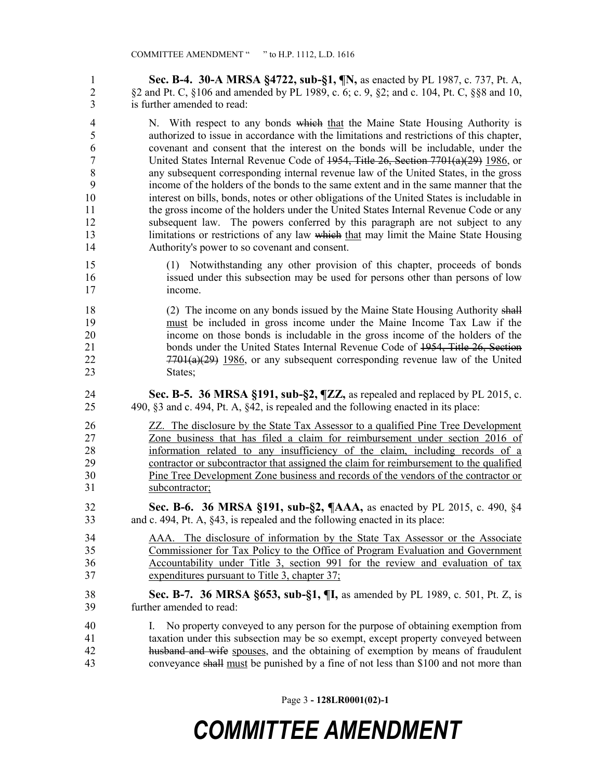**Sec. B-4. 30-A MRSA §4722, sub-§1, ¶N,** as enacted by PL 1987, c. 737, Pt. A, §2 and Pt. C, §106 and amended by PL 1989, c. 6; c. 9, §2; and c. 104, Pt. C, §§8 and 10, is further amended to read:

4 N. With respect to any bonds which that the Maine State Housing Authority is authorized to issue in accordance with the limitations and restrictions of this chapter, covenant and consent that the interest on the bonds will be includable, under the United States Internal Revenue Code of 1954, Title 26, Section 7701(a)(29) 1986, or any subsequent corresponding internal revenue law of the United States, in the gross income of the holders of the bonds to the same extent and in the same manner that the interest on bills, bonds, notes or other obligations of the United States is includable in the gross income of the holders under the United States Internal Revenue Code or any subsequent law. The powers conferred by this paragraph are not subject to any 13 limitations or restrictions of any law which that may limit the Maine State Housing Authority's power to so covenant and consent.

 (1) Notwithstanding any other provision of this chapter, proceeds of bonds issued under this subsection may be used for persons other than persons of low income.

18 (2) The income on any bonds issued by the Maine State Housing Authority shall must be included in gross income under the Maine Income Tax Law if the income on those bonds is includable in the gross income of the holders of the 21 bonds under the United States Internal Revenue Code of 1954, Title 26, Section 22 7701(a)(29) 1986, or any subsequent corresponding revenue law of the United 23 States;

 **Sec. B-5. 36 MRSA §191, sub-§2, ¶ZZ,** as repealed and replaced by PL 2015, c. 490, §3 and c. 494, Pt. A, §42, is repealed and the following enacted in its place:

 ZZ. The disclosure by the State Tax Assessor to a qualified Pine Tree Development Zone business that has filed a claim for reimbursement under section 2016 of information related to any insufficiency of the claim, including records of a contractor or subcontractor that assigned the claim for reimbursement to the qualified Pine Tree Development Zone business and records of the vendors of the contractor or subcontractor;

 **Sec. B-6. 36 MRSA §191, sub-§2, ¶AAA,** as enacted by PL 2015, c. 490, §4 and c. 494, Pt. A, §43, is repealed and the following enacted in its place:

- AAA. The disclosure of information by the State Tax Assessor or the Associate Commissioner for Tax Policy to the Office of Program Evaluation and Government Accountability under Title 3, section 991 for the review and evaluation of tax expenditures pursuant to Title 3, chapter 37;
- **Sec. B-7. 36 MRSA §653, sub-§1, ¶I,** as amended by PL 1989, c. 501, Pt. Z, is further amended to read:
- I. No property conveyed to any person for the purpose of obtaining exemption from taxation under this subsection may be so exempt, except property conveyed between husband and wife spouses, and the obtaining of exemption by means of fraudulent conveyance shall must be punished by a fine of not less than \$100 and not more than

Page 3 **- 128LR0001(02)-1**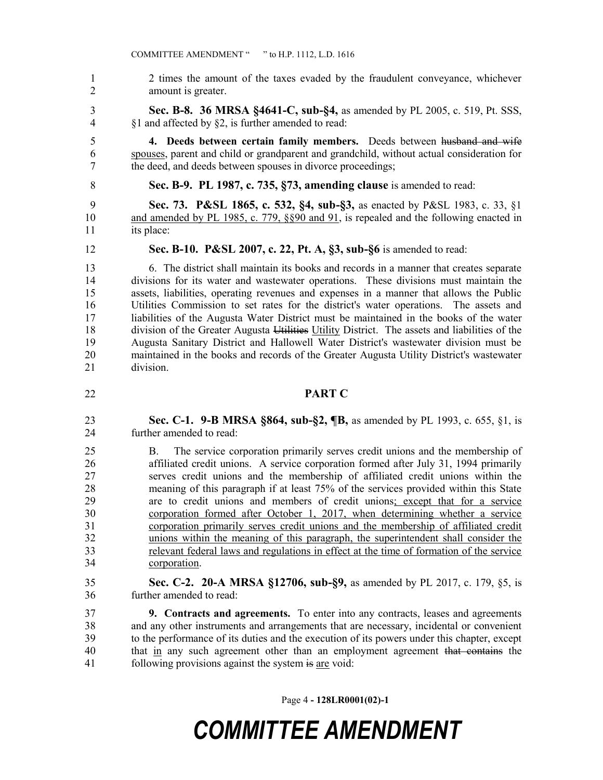- 2 times the amount of the taxes evaded by the fraudulent conveyance, whichever amount is greater. **Sec. B-8. 36 MRSA §4641-C, sub-§4,** as amended by PL 2005, c. 519, Pt. SSS, §1 and affected by §2, is further amended to read: **4. Deeds between certain family members.** Deeds between husband and wife spouses, parent and child or grandparent and grandchild, without actual consideration for the deed, and deeds between spouses in divorce proceedings;
- **Sec. B-9. PL 1987, c. 735, §73, amending clause** is amended to read:

 **Sec. 73. P&SL 1865, c. 532, §4, sub-§3,** as enacted by P&SL 1983, c. 33, §1 and amended by PL 1985, c. 779, §§90 and 91, is repealed and the following enacted in its place:

**Sec. B-10. P&SL 2007, c. 22, Pt. A, §3, sub-§6** is amended to read:

 6. The district shall maintain its books and records in a manner that creates separate divisions for its water and wastewater operations. These divisions must maintain the assets, liabilities, operating revenues and expenses in a manner that allows the Public Utilities Commission to set rates for the district's water operations. The assets and liabilities of the Augusta Water District must be maintained in the books of the water 18 division of the Greater Augusta Utilities Utility District. The assets and liabilities of the Augusta Sanitary District and Hallowell Water District's wastewater division must be maintained in the books and records of the Greater Augusta Utility District's wastewater division.

#### **PART C**

 **Sec. C-1. 9-B MRSA §864, sub-§2, ¶B,** as amended by PL 1993, c. 655, §1, is further amended to read:

 B. The service corporation primarily serves credit unions and the membership of affiliated credit unions. A service corporation formed after July 31, 1994 primarily serves credit unions and the membership of affiliated credit unions within the meaning of this paragraph if at least 75% of the services provided within this State are to credit unions and members of credit unions; except that for a service corporation formed after October 1, 2017, when determining whether a service corporation primarily serves credit unions and the membership of affiliated credit unions within the meaning of this paragraph, the superintendent shall consider the relevant federal laws and regulations in effect at the time of formation of the service corporation.

 **Sec. C-2. 20-A MRSA §12706, sub-§9,** as amended by PL 2017, c. 179, §5, is further amended to read:

 **9. Contracts and agreements.** To enter into any contracts, leases and agreements and any other instruments and arrangements that are necessary, incidental or convenient to the performance of its duties and the execution of its powers under this chapter, except 40 that in any such agreement other than an employment agreement that contains the following provisions against the system is are void:

Page 4 **- 128LR0001(02)-1**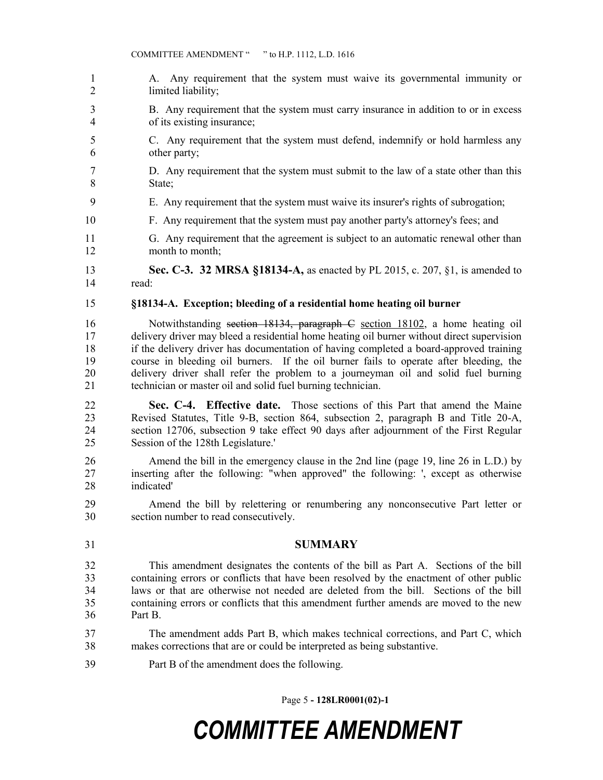A. Any requirement that the system must waive its governmental immunity or limited liability; B. Any requirement that the system must carry insurance in addition to or in excess of its existing insurance; C. Any requirement that the system must defend, indemnify or hold harmless any other party; D. Any requirement that the system must submit to the law of a state other than this State; E. Any requirement that the system must waive its insurer's rights of subrogation; F. Any requirement that the system must pay another party's attorney's fees; and G. Any requirement that the agreement is subject to an automatic renewal other than 12 month to month; **Sec. C-3. 32 MRSA §18134-A,** as enacted by PL 2015, c. 207, §1, is amended to read: **§18134-A. Exception; bleeding of a residential home heating oil burner** Notwithstanding section 18134, paragraph C section 18102, a home heating oil delivery driver may bleed a residential home heating oil burner without direct supervision if the delivery driver has documentation of having completed a board-approved training course in bleeding oil burners. If the oil burner fails to operate after bleeding, the delivery driver shall refer the problem to a journeyman oil and solid fuel burning technician or master oil and solid fuel burning technician. **Sec. C-4. Effective date.** Those sections of this Part that amend the Maine Revised Statutes, Title 9-B, section 864, subsection 2, paragraph B and Title 20-A, section 12706, subsection 9 take effect 90 days after adjournment of the First Regular Session of the 128th Legislature.' Amend the bill in the emergency clause in the 2nd line (page 19, line 26 in L.D.) by inserting after the following: "when approved" the following: ', except as otherwise indicated' Amend the bill by relettering or renumbering any nonconsecutive Part letter or section number to read consecutively. **SUMMARY** This amendment designates the contents of the bill as Part A. Sections of the bill containing errors or conflicts that have been resolved by the enactment of other public laws or that are otherwise not needed are deleted from the bill. Sections of the bill containing errors or conflicts that this amendment further amends are moved to the new Part B. The amendment adds Part B, which makes technical corrections, and Part C, which makes corrections that are or could be interpreted as being substantive. Part B of the amendment does the following.

Page 5 **- 128LR0001(02)-1**